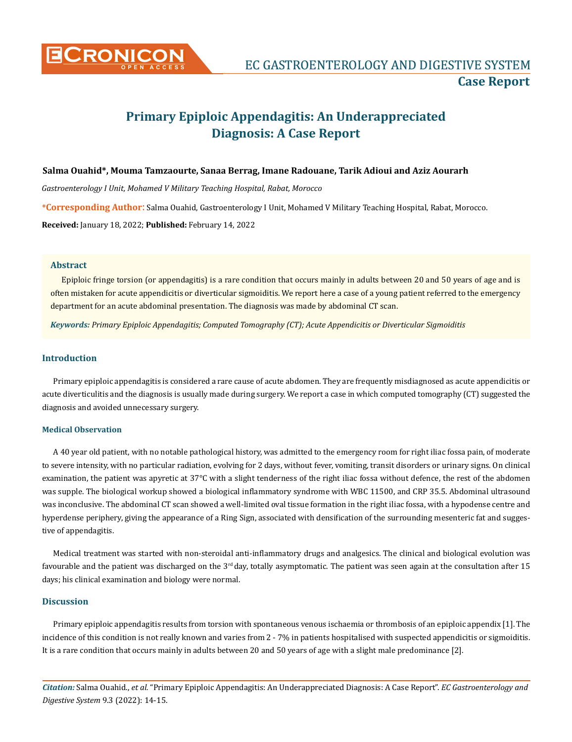

# **Primary Epiploic Appendagitis: An Underappreciated Diagnosis: A Case Report**

# **Salma Ouahid\*, Mouma Tamzaourte, Sanaa Berrag, Imane Radouane, Tarik Adioui and Aziz Aourarh**

*Gastroenterology I Unit, Mohamed V Military Teaching Hospital, Rabat, Morocco*

**\*Corresponding Author**: Salma Ouahid, Gastroenterology I Unit, Mohamed V Military Teaching Hospital, Rabat, Morocco.

**Received:** January 18, 2022; **Published:** February 14, 2022

#### **Abstract**

Epiploic fringe torsion (or appendagitis) is a rare condition that occurs mainly in adults between 20 and 50 years of age and is often mistaken for acute appendicitis or diverticular sigmoiditis. We report here a case of a young patient referred to the emergency department for an acute abdominal presentation. The diagnosis was made by abdominal CT scan.

*Keywords: Primary Epiploic Appendagitis; Computed Tomography (CT); Acute Appendicitis or Diverticular Sigmoiditis*

### **Introduction**

Primary epiploic appendagitis is considered a rare cause of acute abdomen. They are frequently misdiagnosed as acute appendicitis or acute diverticulitis and the diagnosis is usually made during surgery. We report a case in which computed tomography (CT) suggested the diagnosis and avoided unnecessary surgery.

### **Medical Observation**

A 40 year old patient, with no notable pathological history, was admitted to the emergency room for right iliac fossa pain, of moderate to severe intensity, with no particular radiation, evolving for 2 days, without fever, vomiting, transit disorders or urinary signs. On clinical examination, the patient was apyretic at 37°C with a slight tenderness of the right iliac fossa without defence, the rest of the abdomen was supple. The biological workup showed a biological inflammatory syndrome with WBC 11500, and CRP 35.5. Abdominal ultrasound was inconclusive. The abdominal CT scan showed a well-limited oval tissue formation in the right iliac fossa, with a hypodense centre and hyperdense periphery, giving the appearance of a Ring Sign, associated with densification of the surrounding mesenteric fat and suggestive of appendagitis.

Medical treatment was started with non-steroidal anti-inflammatory drugs and analgesics. The clinical and biological evolution was favourable and the patient was discharged on the  $3<sup>rd</sup>$  day, totally asymptomatic. The patient was seen again at the consultation after 15 days; his clinical examination and biology were normal.

# **Discussion**

Primary epiploic appendagitis results from torsion with spontaneous venous ischaemia or thrombosis of an epiploic appendix [1]. The incidence of this condition is not really known and varies from 2 - 7% in patients hospitalised with suspected appendicitis or sigmoiditis. It is a rare condition that occurs mainly in adults between 20 and 50 years of age with a slight male predominance [2].

*Citation:* Salma Ouahid., *et al.* "Primary Epiploic Appendagitis: An Underappreciated Diagnosis: A Case Report". *EC Gastroenterology and Digestive System* 9.3 (2022): 14-15.